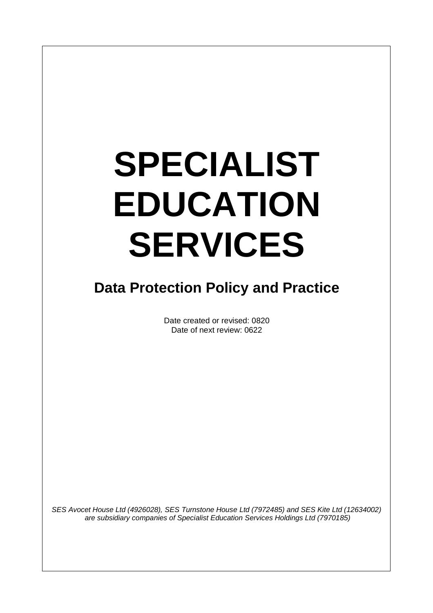# **SPECIALIST EDUCATION SERVICES**

# **Data Protection Policy and Practice**

Date created or revised: 0820 Date of next review: 0622

*SES Avocet House Ltd (4926028), SES Turnstone House Ltd (7972485) and SES Kite Ltd (12634002) are subsidiary companies of Specialist Education Services Holdings Ltd (7970185)*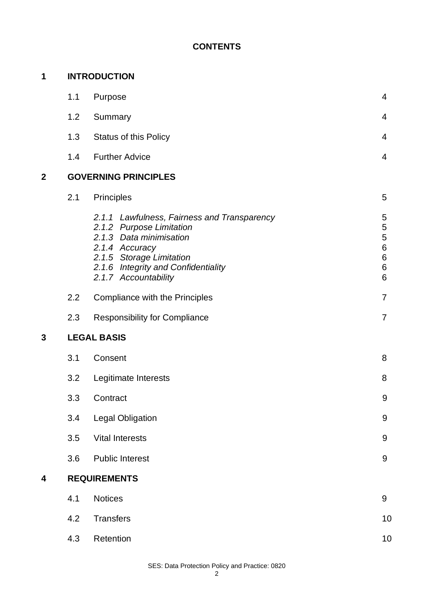# **CONTENTS**

| 1            | <b>INTRODUCTION</b>         |                                                                                                                                                                                                                 |                                                                 |  |  |
|--------------|-----------------------------|-----------------------------------------------------------------------------------------------------------------------------------------------------------------------------------------------------------------|-----------------------------------------------------------------|--|--|
|              | 1.1                         | Purpose                                                                                                                                                                                                         | $\overline{4}$                                                  |  |  |
|              | 1.2                         | Summary                                                                                                                                                                                                         | 4                                                               |  |  |
|              | 1.3                         | <b>Status of this Policy</b>                                                                                                                                                                                    | 4                                                               |  |  |
|              | 1.4                         | <b>Further Advice</b>                                                                                                                                                                                           | $\overline{4}$                                                  |  |  |
| $\mathbf{2}$ | <b>GOVERNING PRINCIPLES</b> |                                                                                                                                                                                                                 |                                                                 |  |  |
|              | 2.1                         | Principles                                                                                                                                                                                                      | 5                                                               |  |  |
|              |                             | 2.1.1 Lawfulness, Fairness and Transparency<br>2.1.2 Purpose Limitation<br>2.1.3 Data minimisation<br>2.1.4 Accuracy<br>2.1.5 Storage Limitation<br>2.1.6 Integrity and Confidentiality<br>2.1.7 Accountability | 5<br>5<br>5<br>$\,$ 6 $\,$<br>$\,6$<br>$\,6$<br>$6\phantom{1}6$ |  |  |
|              | 2.2                         | Compliance with the Principles                                                                                                                                                                                  | $\overline{7}$                                                  |  |  |
|              | 2.3                         | <b>Responsibility for Compliance</b>                                                                                                                                                                            | $\overline{7}$                                                  |  |  |
| 3            | <b>LEGAL BASIS</b>          |                                                                                                                                                                                                                 |                                                                 |  |  |
|              | 3.1                         | Consent                                                                                                                                                                                                         | 8                                                               |  |  |
|              | 3.2                         | Legitimate Interests                                                                                                                                                                                            | 8                                                               |  |  |
|              | 3.3                         | Contract                                                                                                                                                                                                        | 9                                                               |  |  |
|              | 3.4                         | <b>Legal Obligation</b>                                                                                                                                                                                         | $\boldsymbol{9}$                                                |  |  |
|              | 3.5                         | <b>Vital Interests</b>                                                                                                                                                                                          | $9\,$                                                           |  |  |
|              | 3.6                         | <b>Public Interest</b>                                                                                                                                                                                          | 9                                                               |  |  |
| 4            | <b>REQUIREMENTS</b>         |                                                                                                                                                                                                                 |                                                                 |  |  |
|              | 4.1                         | <b>Notices</b>                                                                                                                                                                                                  | 9                                                               |  |  |
|              | 4.2                         | <b>Transfers</b>                                                                                                                                                                                                | 10                                                              |  |  |
|              | 4.3                         | Retention                                                                                                                                                                                                       | 10                                                              |  |  |

SES: Data Protection Policy and Practice: 0820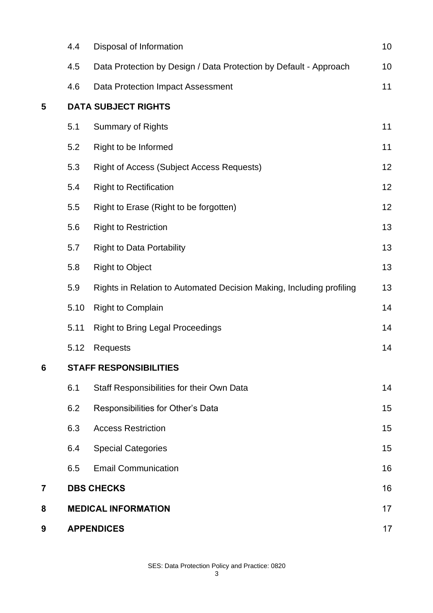|   | 4.4                           | Disposal of Information                                              | 10 |  |
|---|-------------------------------|----------------------------------------------------------------------|----|--|
|   | 4.5                           | Data Protection by Design / Data Protection by Default - Approach    | 10 |  |
|   | 4.6                           | <b>Data Protection Impact Assessment</b>                             | 11 |  |
| 5 | <b>DATA SUBJECT RIGHTS</b>    |                                                                      |    |  |
|   | 5.1                           | <b>Summary of Rights</b>                                             | 11 |  |
|   | 5.2                           | Right to be Informed                                                 | 11 |  |
|   | 5.3                           | <b>Right of Access (Subject Access Requests)</b>                     | 12 |  |
|   | 5.4                           | <b>Right to Rectification</b>                                        | 12 |  |
|   | 5.5                           | Right to Erase (Right to be forgotten)                               | 12 |  |
|   | 5.6                           | <b>Right to Restriction</b>                                          | 13 |  |
|   | 5.7                           | <b>Right to Data Portability</b>                                     | 13 |  |
|   | 5.8                           | <b>Right to Object</b>                                               | 13 |  |
|   | 5.9                           | Rights in Relation to Automated Decision Making, Including profiling | 13 |  |
|   | 5.10                          | <b>Right to Complain</b>                                             | 14 |  |
|   | 5.11                          | <b>Right to Bring Legal Proceedings</b>                              | 14 |  |
|   | 5.12                          | <b>Requests</b>                                                      | 14 |  |
| 6 | <b>STAFF RESPONSIBILITIES</b> |                                                                      |    |  |
|   | 6.1                           | Staff Responsibilities for their Own Data                            | 14 |  |
|   | 6.2                           | Responsibilities for Other's Data                                    | 15 |  |
|   | 6.3                           | <b>Access Restriction</b>                                            | 15 |  |
|   | 6.4                           | <b>Special Categories</b>                                            | 15 |  |
|   | 6.5                           | <b>Email Communication</b>                                           | 16 |  |
| 7 |                               | <b>DBS CHECKS</b>                                                    | 16 |  |
| 8 |                               | <b>MEDICAL INFORMATION</b>                                           | 17 |  |
| 9 | <b>APPENDICES</b>             |                                                                      | 17 |  |

SES: Data Protection Policy and Practice: 0820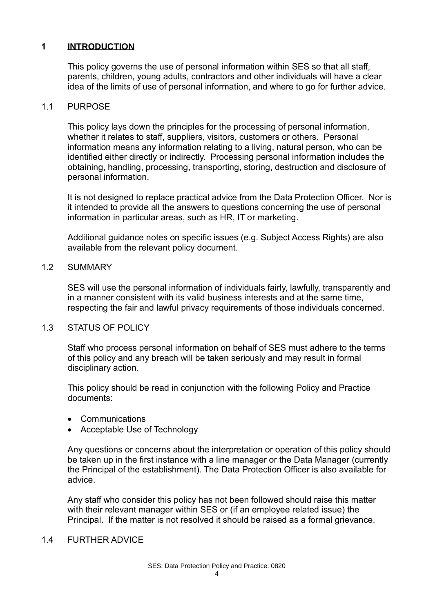# **1 INTRODUCTION**

This policy governs the use of personal information within SES so that all staff, parents, children, young adults, contractors and other individuals will have a clear idea of the limits of use of personal information, and where to go for further advice.

### 1.1 PURPOSE

This policy lays down the principles for the processing of personal information, whether it relates to staff, suppliers, visitors, customers or others. Personal information means any information relating to a living, natural person, who can be identified either directly or indirectly. Processing personal information includes the obtaining, handling, processing, transporting, storing, destruction and disclosure of personal information.

It is not designed to replace practical advice from the Data Protection Officer. Nor is it intended to provide all the answers to questions concerning the use of personal information in particular areas, such as HR, IT or marketing.

Additional guidance notes on specific issues (e.g. Subject Access Rights) are also available from the relevant policy document.

### 1.2 SUMMARY

SES will use the personal information of individuals fairly, lawfully, transparently and in a manner consistent with its valid business interests and at the same time, respecting the fair and lawful privacy requirements of those individuals concerned.

# 1.3 STATUS OF POLICY

Staff who process personal information on behalf of SES must adhere to the terms of this policy and any breach will be taken seriously and may result in formal disciplinary action.

This policy should be read in conjunction with the following Policy and Practice documents:

- Communications
- Acceptable Use of Technology

Any questions or concerns about the interpretation or operation of this policy should be taken up in the first instance with a line manager or the Data Manager (currently the Principal of the establishment). The Data Protection Officer is also available for advice.

Any staff who consider this policy has not been followed should raise this matter with their relevant manager within SES or (if an employee related issue) the Principal. If the matter is not resolved it should be raised as a formal grievance.

#### 1.4 FURTHER ADVICE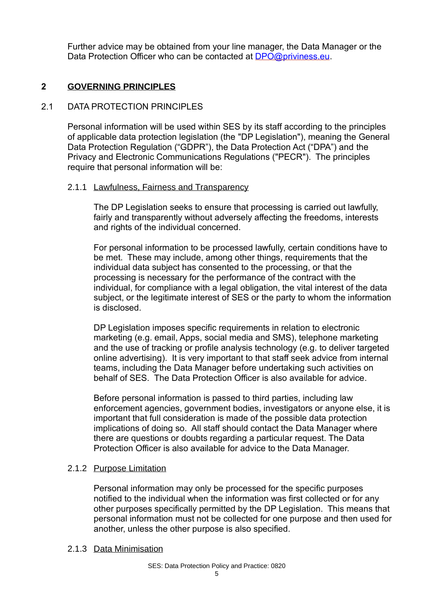Further advice may be obtained from your line manager, the Data Manager or the Data Protection Officer who can be contacted at [DPO@priviness.eu.](mailto:DPO@priviness.eu)

# **2 GOVERNING PRINCIPLES**

# 2.1 DATA PROTECTION PRINCIPLES

Personal information will be used within SES by its staff according to the principles of applicable data protection legislation (the "DP Legislation"), meaning the General Data Protection Regulation ("GDPR"), the Data Protection Act ("DPA") and the Privacy and Electronic Communications Regulations ("PECR"). The principles require that personal information will be:

### 2.1.1 Lawfulness, Fairness and Transparency

The DP Legislation seeks to ensure that processing is carried out lawfully, fairly and transparently without adversely affecting the freedoms, interests and rights of the individual concerned.

For personal information to be processed lawfully, certain conditions have to be met. These may include, among other things, requirements that the individual data subject has consented to the processing, or that the processing is necessary for the performance of the contract with the individual, for compliance with a legal obligation, the vital interest of the data subject, or the legitimate interest of SES or the party to whom the information is disclosed.

DP Legislation imposes specific requirements in relation to electronic marketing (e.g. email, Apps, social media and SMS), telephone marketing and the use of tracking or profile analysis technology (e.g. to deliver targeted online advertising). It is very important to that staff seek advice from internal teams, including the Data Manager before undertaking such activities on behalf of SES. The Data Protection Officer is also available for advice.

Before personal information is passed to third parties, including law enforcement agencies, government bodies, investigators or anyone else, it is important that full consideration is made of the possible data protection implications of doing so. All staff should contact the Data Manager where there are questions or doubts regarding a particular request. The Data Protection Officer is also available for advice to the Data Manager.

# 2.1.2 Purpose Limitation

Personal information may only be processed for the specific purposes notified to the individual when the information was first collected or for any other purposes specifically permitted by the DP Legislation. This means that personal information must not be collected for one purpose and then used for another, unless the other purpose is also specified.

# 2.1.3 Data Minimisation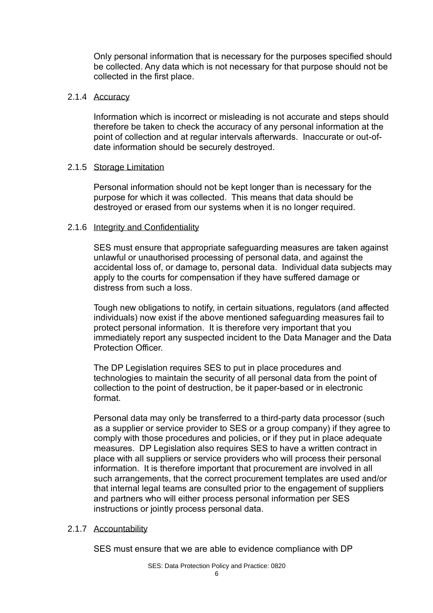Only personal information that is necessary for the purposes specified should be collected. Any data which is not necessary for that purpose should not be collected in the first place.

### 2.1.4 Accuracy

Information which is incorrect or misleading is not accurate and steps should therefore be taken to check the accuracy of any personal information at the point of collection and at regular intervals afterwards. Inaccurate or out-ofdate information should be securely destroyed.

### 2.1.5 Storage Limitation

Personal information should not be kept longer than is necessary for the purpose for which it was collected. This means that data should be destroyed or erased from our systems when it is no longer required.

### 2.1.6 Integrity and Confidentiality

SES must ensure that appropriate safeguarding measures are taken against unlawful or unauthorised processing of personal data, and against the accidental loss of, or damage to, personal data. Individual data subjects may apply to the courts for compensation if they have suffered damage or distress from such a loss.

Tough new obligations to notify, in certain situations, regulators (and affected individuals) now exist if the above mentioned safeguarding measures fail to protect personal information. It is therefore very important that you immediately report any suspected incident to the Data Manager and the Data Protection Officer.

The DP Legislation requires SES to put in place procedures and technologies to maintain the security of all personal data from the point of collection to the point of destruction, be it paper-based or in electronic format.

Personal data may only be transferred to a third-party data processor (such as a supplier or service provider to SES or a group company) if they agree to comply with those procedures and policies, or if they put in place adequate measures. DP Legislation also requires SES to have a written contract in place with all suppliers or service providers who will process their personal information. It is therefore important that procurement are involved in all such arrangements, that the correct procurement templates are used and/or that internal legal teams are consulted prior to the engagement of suppliers and partners who will either process personal information per SES instructions or jointly process personal data.

#### 2.1.7 Accountability

SES must ensure that we are able to evidence compliance with DP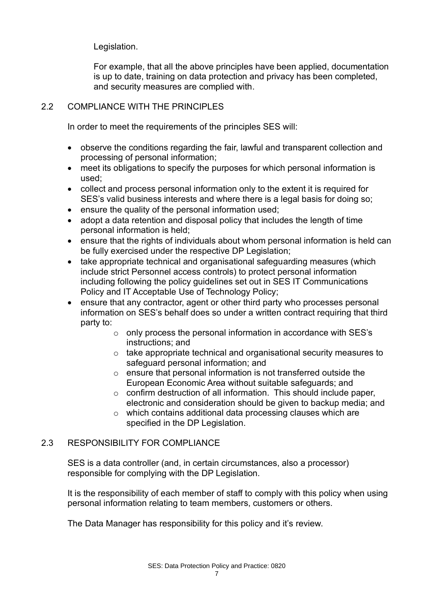Legislation.

For example, that all the above principles have been applied, documentation is up to date, training on data protection and privacy has been completed, and security measures are complied with.

# 2.2 COMPLIANCE WITH THE PRINCIPLES

In order to meet the requirements of the principles SES will:

- observe the conditions regarding the fair, lawful and transparent collection and processing of personal information;
- meet its obligations to specify the purposes for which personal information is used;
- collect and process personal information only to the extent it is required for SES's valid business interests and where there is a legal basis for doing so;
- ensure the quality of the personal information used;
- adopt a data retention and disposal policy that includes the length of time personal information is held;
- ensure that the rights of individuals about whom personal information is held can be fully exercised under the respective DP Legislation;
- take appropriate technical and organisational safeguarding measures (which include strict Personnel access controls) to protect personal information including following the policy guidelines set out in SES IT Communications Policy and IT Acceptable Use of Technology Policy;
- ensure that any contractor, agent or other third party who processes personal information on SES's behalf does so under a written contract requiring that third party to:
	- o only process the personal information in accordance with SES's instructions; and
	- o take appropriate technical and organisational security measures to safeguard personal information; and
	- o ensure that personal information is not transferred outside the European Economic Area without suitable safeguards; and
	- o confirm destruction of all information. This should include paper, electronic and consideration should be given to backup media; and
	- o which contains additional data processing clauses which are specified in the DP Legislation.

# 2.3 RESPONSIBILITY FOR COMPLIANCE

SES is a data controller (and, in certain circumstances, also a processor) responsible for complying with the DP Legislation.

It is the responsibility of each member of staff to comply with this policy when using personal information relating to team members, customers or others.

The Data Manager has responsibility for this policy and it's review.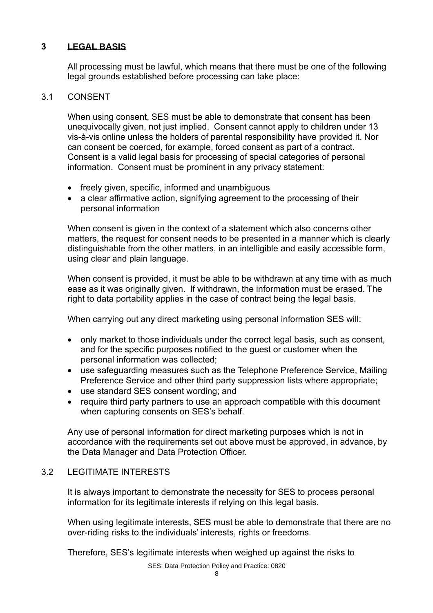# **3 LEGAL BASIS**

All processing must be lawful, which means that there must be one of the following legal grounds established before processing can take place:

# 3.1 CONSENT

When using consent, SES must be able to demonstrate that consent has been unequivocally given, not just implied. Consent cannot apply to children under 13 vis-à-vis online unless the holders of parental responsibility have provided it. Nor can consent be coerced, for example, forced consent as part of a contract. Consent is a valid legal basis for processing of special categories of personal information. Consent must be prominent in any privacy statement:

- freely given, specific, informed and unambiguous
- a clear affirmative action, signifying agreement to the processing of their personal information

When consent is given in the context of a statement which also concerns other matters, the request for consent needs to be presented in a manner which is clearly distinguishable from the other matters, in an intelligible and easily accessible form, using clear and plain language.

When consent is provided, it must be able to be withdrawn at any time with as much ease as it was originally given. If withdrawn, the information must be erased. The right to data portability applies in the case of contract being the legal basis.

When carrying out any direct marketing using personal information SES will:

- only market to those individuals under the correct legal basis, such as consent, and for the specific purposes notified to the guest or customer when the personal information was collected;
- use safeguarding measures such as the Telephone Preference Service, Mailing Preference Service and other third party suppression lists where appropriate;
- use standard SES consent wording; and
- require third party partners to use an approach compatible with this document when capturing consents on SES's behalf.

Any use of personal information for direct marketing purposes which is not in accordance with the requirements set out above must be approved, in advance, by the Data Manager and Data Protection Officer.

# 3.2 LEGITIMATE INTERESTS

It is always important to demonstrate the necessity for SES to process personal information for its legitimate interests if relying on this legal basis.

When using legitimate interests, SES must be able to demonstrate that there are no over-riding risks to the individuals' interests, rights or freedoms.

Therefore, SES's legitimate interests when weighed up against the risks to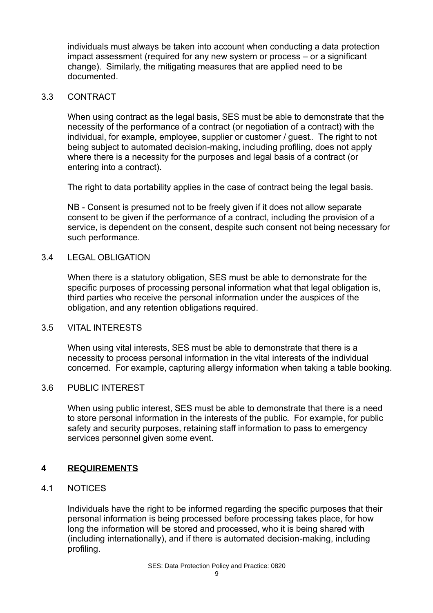individuals must always be taken into account when conducting a data protection impact assessment (required for any new system or process – or a significant change). Similarly, the mitigating measures that are applied need to be documented.

# 3.3 CONTRACT

When using contract as the legal basis, SES must be able to demonstrate that the necessity of the performance of a contract (or negotiation of a contract) with the individual, for example, employee, supplier or customer / guest.. The right to not being subject to automated decision-making, including profiling, does not apply where there is a necessity for the purposes and legal basis of a contract (or entering into a contract).

The right to data portability applies in the case of contract being the legal basis.

NB - Consent is presumed not to be freely given if it does not allow separate consent to be given if the performance of a contract, including the provision of a service, is dependent on the consent, despite such consent not being necessary for such performance.

# 3.4 LEGAL OBLIGATION

When there is a statutory obligation, SES must be able to demonstrate for the specific purposes of processing personal information what that legal obligation is, third parties who receive the personal information under the auspices of the obligation, and any retention obligations required.

# 3.5 VITAL INTERESTS

When using vital interests, SES must be able to demonstrate that there is a necessity to process personal information in the vital interests of the individual concerned. For example, capturing allergy information when taking a table booking.

# 3.6 PUBLIC INTEREST

When using public interest, SES must be able to demonstrate that there is a need to store personal information in the interests of the public. For example, for public safety and security purposes, retaining staff information to pass to emergency services personnel given some event.

# **4 REQUIREMENTS**

# 4.1 NOTICES

Individuals have the right to be informed regarding the specific purposes that their personal information is being processed before processing takes place, for how long the information will be stored and processed, who it is being shared with (including internationally), and if there is automated decision-making, including profiling.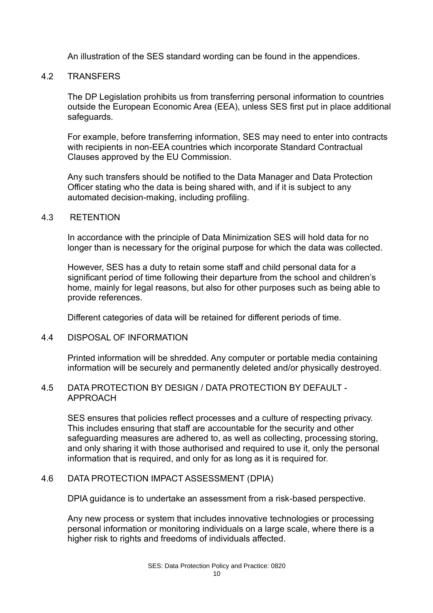An illustration of the SES standard wording can be found in the appendices.

# 4.2 TRANSFERS

The DP Legislation prohibits us from transferring personal information to countries outside the European Economic Area (EEA), unless SES first put in place additional safeguards.

For example, before transferring information, SES may need to enter into contracts with recipients in non-EEA countries which incorporate Standard Contractual Clauses approved by the EU Commission.

Any such transfers should be notified to the Data Manager and Data Protection Officer stating who the data is being shared with, and if it is subject to any automated decision-making, including profiling.

#### 4.3 RETENTION

In accordance with the principle of Data Minimization SES will hold data for no longer than is necessary for the original purpose for which the data was collected.

However, SES has a duty to retain some staff and child personal data for a significant period of time following their departure from the school and children's home, mainly for legal reasons, but also for other purposes such as being able to provide references.

Different categories of data will be retained for different periods of time.

4.4 DISPOSAL OF INFORMATION

Printed information will be shredded. Any computer or portable media containing information will be securely and permanently deleted and/or physically destroyed.

# 4.5 DATA PROTECTION BY DESIGN / DATA PROTECTION BY DEFAULT - APPROACH

SES ensures that policies reflect processes and a culture of respecting privacy. This includes ensuring that staff are accountable for the security and other safeguarding measures are adhered to, as well as collecting, processing storing, and only sharing it with those authorised and required to use it, only the personal information that is required, and only for as long as it is required for.

# 4.6 DATA PROTECTION IMPACT ASSESSMENT (DPIA)

DPIA guidance is to undertake an assessment from a risk-based perspective.

Any new process or system that includes innovative technologies or processing personal information or monitoring individuals on a large scale, where there is a higher risk to rights and freedoms of individuals affected.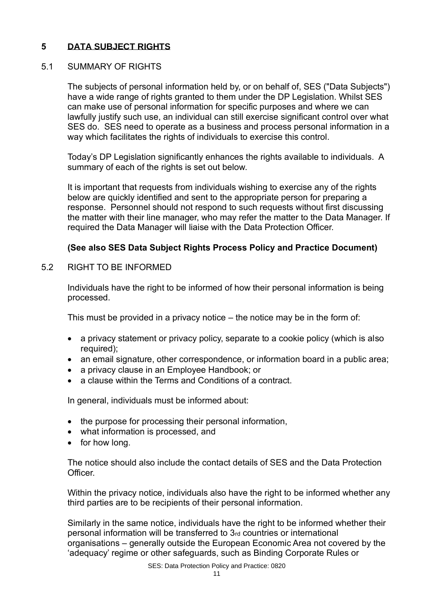# **5 DATA SUBJECT RIGHTS**

# 5.1 SUMMARY OF RIGHTS

The subjects of personal information held by, or on behalf of, SES ("Data Subjects") have a wide range of rights granted to them under the DP Legislation. Whilst SES can make use of personal information for specific purposes and where we can lawfully justify such use, an individual can still exercise significant control over what SES do. SES need to operate as a business and process personal information in a way which facilitates the rights of individuals to exercise this control.

Today's DP Legislation significantly enhances the rights available to individuals. A summary of each of the rights is set out below.

It is important that requests from individuals wishing to exercise any of the rights below are quickly identified and sent to the appropriate person for preparing a response. Personnel should not respond to such requests without first discussing the matter with their line manager, who may refer the matter to the Data Manager. If required the Data Manager will liaise with the Data Protection Officer.

# **(See also SES Data Subject Rights Process Policy and Practice Document)**

5.2 RIGHT TO BE INFORMED

Individuals have the right to be informed of how their personal information is being processed.

This must be provided in a privacy notice – the notice may be in the form of:

- a privacy statement or privacy policy, separate to a cookie policy (which is also required);
- an email signature, other correspondence, or information board in a public area;
- a privacy clause in an Employee Handbook; or
- a clause within the Terms and Conditions of a contract.

In general, individuals must be informed about:

- the purpose for processing their personal information,
- what information is processed, and
- for how long.

The notice should also include the contact details of SES and the Data Protection Officer.

Within the privacy notice, individuals also have the right to be informed whether any third parties are to be recipients of their personal information.

Similarly in the same notice, individuals have the right to be informed whether their personal information will be transferred to 3rd countries or international organisations – generally outside the European Economic Area not covered by the 'adequacy' regime or other safeguards, such as Binding Corporate Rules or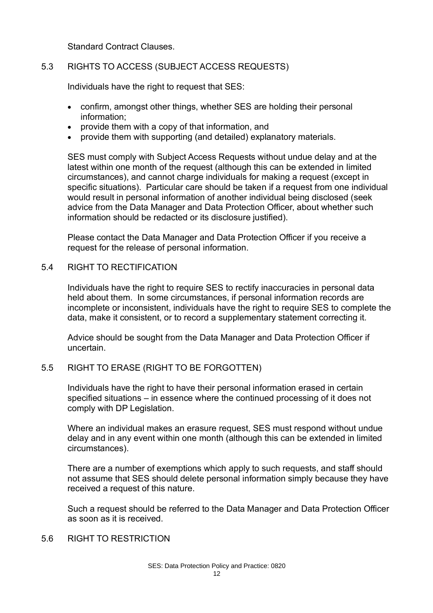Standard Contract Clauses.

# 5.3 RIGHTS TO ACCESS (SUBJECT ACCESS REQUESTS)

Individuals have the right to request that SES:

- confirm, amongst other things, whether SES are holding their personal information;
- provide them with a copy of that information, and
- provide them with supporting (and detailed) explanatory materials.

SES must comply with Subject Access Requests without undue delay and at the latest within one month of the request (although this can be extended in limited circumstances), and cannot charge individuals for making a request (except in specific situations). Particular care should be taken if a request from one individual would result in personal information of another individual being disclosed (seek advice from the Data Manager and Data Protection Officer, about whether such information should be redacted or its disclosure justified).

Please contact the Data Manager and Data Protection Officer if you receive a request for the release of personal information.

# 5.4 RIGHT TO RECTIFICATION

Individuals have the right to require SES to rectify inaccuracies in personal data held about them. In some circumstances, if personal information records are incomplete or inconsistent, individuals have the right to require SES to complete the data, make it consistent, or to record a supplementary statement correcting it.

Advice should be sought from the Data Manager and Data Protection Officer if uncertain.

# 5.5 RIGHT TO ERASE (RIGHT TO BE FORGOTTEN)

Individuals have the right to have their personal information erased in certain specified situations – in essence where the continued processing of it does not comply with DP Legislation.

Where an individual makes an erasure request, SES must respond without undue delay and in any event within one month (although this can be extended in limited circumstances).

There are a number of exemptions which apply to such requests, and staff should not assume that SES should delete personal information simply because they have received a request of this nature.

Such a request should be referred to the Data Manager and Data Protection Officer as soon as it is received.

# 5.6 RIGHT TO RESTRICTION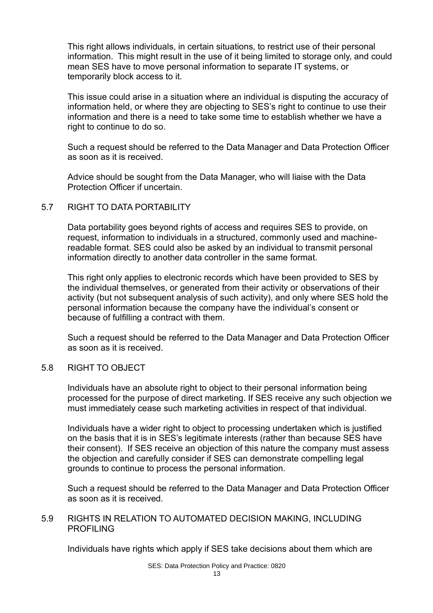This right allows individuals, in certain situations, to restrict use of their personal information. This might result in the use of it being limited to storage only, and could mean SES have to move personal information to separate IT systems, or temporarily block access to it.

This issue could arise in a situation where an individual is disputing the accuracy of information held, or where they are objecting to SES's right to continue to use their information and there is a need to take some time to establish whether we have a right to continue to do so.

Such a request should be referred to the Data Manager and Data Protection Officer as soon as it is received.

Advice should be sought from the Data Manager, who will liaise with the Data Protection Officer if uncertain.

# 5.7 RIGHT TO DATA PORTABILITY

Data portability goes beyond rights of access and requires SES to provide, on request, information to individuals in a structured, commonly used and machinereadable format. SES could also be asked by an individual to transmit personal information directly to another data controller in the same format.

This right only applies to electronic records which have been provided to SES by the individual themselves, or generated from their activity or observations of their activity (but not subsequent analysis of such activity), and only where SES hold the personal information because the company have the individual's consent or because of fulfilling a contract with them.

Such a request should be referred to the Data Manager and Data Protection Officer as soon as it is received.

#### 5.8 RIGHT TO OBJECT

Individuals have an absolute right to object to their personal information being processed for the purpose of direct marketing. If SES receive any such objection we must immediately cease such marketing activities in respect of that individual.

Individuals have a wider right to object to processing undertaken which is justified on the basis that it is in SES's legitimate interests (rather than because SES have their consent). If SES receive an objection of this nature the company must assess the objection and carefully consider if SES can demonstrate compelling legal grounds to continue to process the personal information.

Such a request should be referred to the Data Manager and Data Protection Officer as soon as it is received.

# 5.9 RIGHTS IN RELATION TO AUTOMATED DECISION MAKING, INCLUDING PROFILING

Individuals have rights which apply if SES take decisions about them which are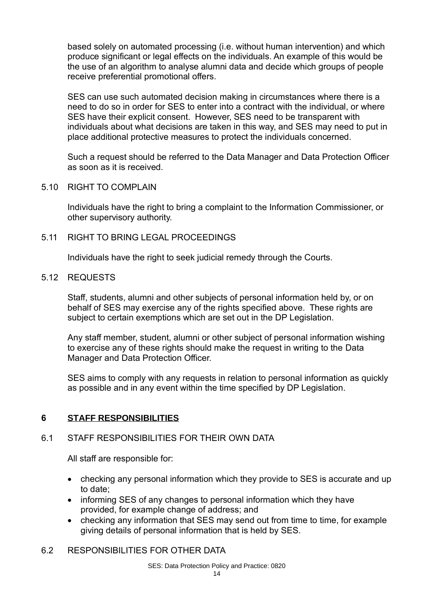based solely on automated processing (i.e. without human intervention) and which produce significant or legal effects on the individuals. An example of this would be the use of an algorithm to analyse alumni data and decide which groups of people receive preferential promotional offers.

SES can use such automated decision making in circumstances where there is a need to do so in order for SES to enter into a contract with the individual, or where SES have their explicit consent. However, SES need to be transparent with individuals about what decisions are taken in this way, and SES may need to put in place additional protective measures to protect the individuals concerned.

Such a request should be referred to the Data Manager and Data Protection Officer as soon as it is received.

# 5.10 RIGHT TO COMPLAIN

Individuals have the right to bring a complaint to the Information Commissioner, or other supervisory authority.

# 5.11 RIGHT TO BRING LEGAL PROCEEDINGS

Individuals have the right to seek judicial remedy through the Courts.

### 5.12 REQUESTS

Staff, students, alumni and other subjects of personal information held by, or on behalf of SES may exercise any of the rights specified above. These rights are subject to certain exemptions which are set out in the DP Legislation.

Any staff member, student, alumni or other subject of personal information wishing to exercise any of these rights should make the request in writing to the Data Manager and Data Protection Officer.

SES aims to comply with any requests in relation to personal information as quickly as possible and in any event within the time specified by DP Legislation.

# **6 STAFF RESPONSIBILITIES**

# 6.1 STAFF RESPONSIBILITIES FOR THEIR OWN DATA

All staff are responsible for:

- checking any personal information which they provide to SES is accurate and up to date;
- informing SES of any changes to personal information which they have provided, for example change of address; and
- checking any information that SES may send out from time to time, for example giving details of personal information that is held by SES.

# 6.2 RESPONSIBILITIES FOR OTHER DATA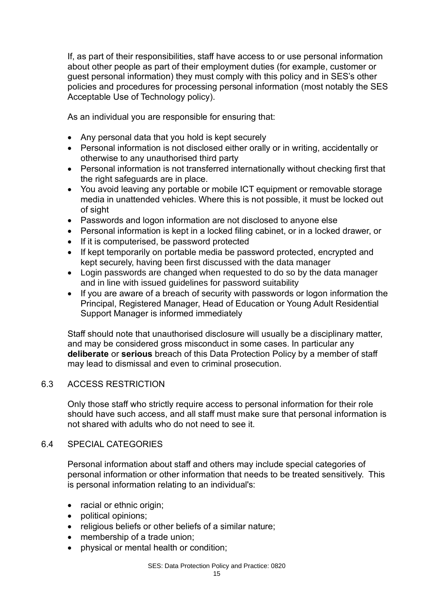If, as part of their responsibilities, staff have access to or use personal information about other people as part of their employment duties (for example, customer or guest personal information) they must comply with this policy and in SES's other policies and procedures for processing personal information (most notably the SES Acceptable Use of Technology policy).

As an individual you are responsible for ensuring that:

- Any personal data that you hold is kept securely
- Personal information is not disclosed either orally or in writing, accidentally or otherwise to any unauthorised third party
- Personal information is not transferred internationally without checking first that the right safeguards are in place.
- You avoid leaving any portable or mobile ICT equipment or removable storage media in unattended vehicles. Where this is not possible, it must be locked out of sight
- Passwords and logon information are not disclosed to anyone else
- Personal information is kept in a locked filing cabinet, or in a locked drawer, or
- If it is computerised, be password protected
- If kept temporarily on portable media be password protected, encrypted and kept securely, having been first discussed with the data manager
- Login passwords are changed when requested to do so by the data manager and in line with issued guidelines for password suitability
- If you are aware of a breach of security with passwords or logon information the Principal, Registered Manager, Head of Education or Young Adult Residential Support Manager is informed immediately

Staff should note that unauthorised disclosure will usually be a disciplinary matter, and may be considered gross misconduct in some cases. In particular any **deliberate** or **serious** breach of this Data Protection Policy by a member of staff may lead to dismissal and even to criminal prosecution.

# 6.3 ACCESS RESTRICTION

Only those staff who strictly require access to personal information for their role should have such access, and all staff must make sure that personal information is not shared with adults who do not need to see it.

# 6.4 SPECIAL CATEGORIES

Personal information about staff and others may include special categories of personal information or other information that needs to be treated sensitively. This is personal information relating to an individual's:

- racial or ethnic origin;
- political opinions;
- religious beliefs or other beliefs of a similar nature;
- membership of a trade union:
- physical or mental health or condition;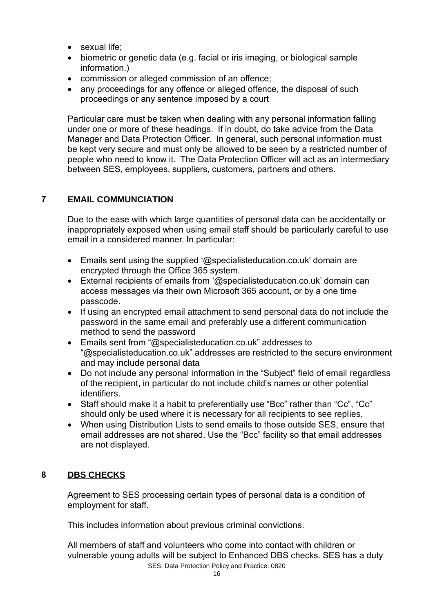- sexual life:
- biometric or genetic data (e.g. facial or iris imaging, or biological sample information.)
- commission or alleged commission of an offence;
- any proceedings for any offence or alleged offence, the disposal of such proceedings or any sentence imposed by a court

Particular care must be taken when dealing with any personal information falling under one or more of these headings. If in doubt, do take advice from the Data Manager and Data Protection Officer. In general, such personal information must be kept very secure and must only be allowed to be seen by a restricted number of people who need to know it. The Data Protection Officer will act as an intermediary between SES, employees, suppliers, customers, partners and others.

# **7 EMAIL COMMUNCIATION**

Due to the ease with which large quantities of personal data can be accidentally or inappropriately exposed when using email staff should be particularly careful to use email in a considered manner. In particular:

- Emails sent using the supplied '@specialisteducation.co.uk' domain are encrypted through the Office 365 system.
- External recipients of emails from '@specialisteducation.co.uk' domain can access messages via their own Microsoft 365 account, or by a one time passcode.
- If using an encrypted email attachment to send personal data do not include the password in the same email and preferably use a different communication method to send the password
- Emails sent from "@specialisteducation.co.uk" addresses to "@specialisteducation.co.uk" addresses are restricted to the secure environment and may include personal data
- Do not include any personal information in the "Subiect" field of email regardless of the recipient, in particular do not include child's names or other potential identifiers.
- Staff should make it a habit to preferentially use "Bcc" rather than "Cc", "Cc" should only be used where it is necessary for all recipients to see replies.
- When using Distribution Lists to send emails to those outside SES, ensure that email addresses are not shared. Use the "Bcc" facility so that email addresses are not displayed.

# **8 DBS CHECKS**

Agreement to SES processing certain types of personal data is a condition of employment for staff.

This includes information about previous criminal convictions.

SES: Data Protection Policy and Practice: 0820 All members of staff and volunteers who come into contact with children or vulnerable young adults will be subject to Enhanced DBS checks. SES has a duty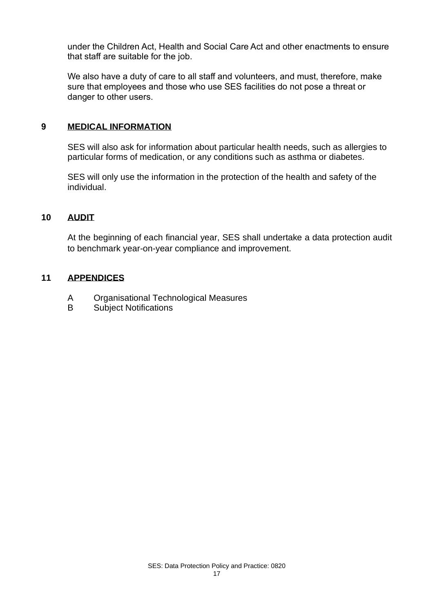under the Children Act, Health and Social Care Act and other enactments to ensure that staff are suitable for the job.

We also have a duty of care to all staff and volunteers, and must, therefore, make sure that employees and those who use SES facilities do not pose a threat or danger to other users.

# **9 MEDICAL INFORMATION**

SES will also ask for information about particular health needs, such as allergies to particular forms of medication, or any conditions such as asthma or diabetes.

SES will only use the information in the protection of the health and safety of the individual.

#### **10 AUDIT**

At the beginning of each financial year, SES shall undertake a data protection audit to benchmark year-on-year compliance and improvement.

# **11 APPENDICES**

- A Organisational Technological Measures
- B Subject Notifications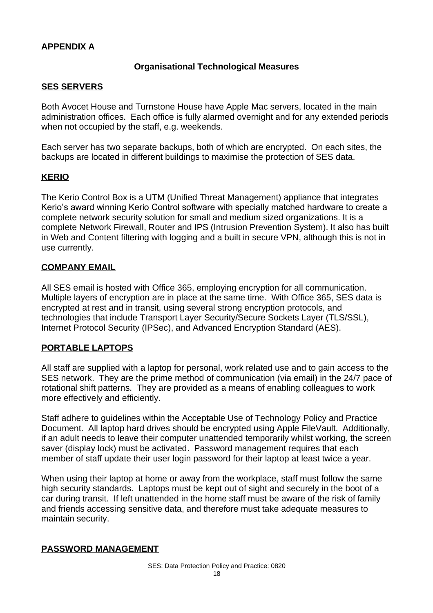# **APPENDIX A**

# **Organisational Technological Measures**

### **SES SERVERS**

Both Avocet House and Turnstone House have Apple Mac servers, located in the main administration offices. Each office is fully alarmed overnight and for any extended periods when not occupied by the staff, e.g. weekends.

Each server has two separate backups, both of which are encrypted. On each sites, the backups are located in different buildings to maximise the protection of SES data.

# **KERIO**

The Kerio Control Box is a UTM (Unified Threat Management) appliance that integrates Kerio's award winning Kerio Control software with specially matched hardware to create a complete network security solution for small and medium sized organizations. It is a complete Network Firewall, Router and IPS (Intrusion Prevention System). It also has built in Web and Content filtering with logging and a built in secure VPN, although this is not in use currently.

### **COMPANY EMAIL**

All SES email is hosted with Office 365, employing encryption for all communication. Multiple layers of encryption are in place at the same time. With Office 365, SES data is encrypted at rest and in transit, using several strong encryption protocols, and technologies that include Transport Layer Security/Secure Sockets Layer (TLS/SSL), Internet Protocol Security (IPSec), and Advanced Encryption Standard (AES).

# **PORTABLE LAPTOPS**

All staff are supplied with a laptop for personal, work related use and to gain access to the SES network. They are the prime method of communication (via email) in the 24/7 pace of rotational shift patterns. They are provided as a means of enabling colleagues to work more effectively and efficiently.

Staff adhere to guidelines within the Acceptable Use of Technology Policy and Practice Document. All laptop hard drives should be encrypted using Apple FileVault. Additionally, if an adult needs to leave their computer unattended temporarily whilst working, the screen saver (display lock) must be activated. Password management requires that each member of staff update their user login password for their laptop at least twice a year.

When using their laptop at home or away from the workplace, staff must follow the same high security standards. Laptops must be kept out of sight and securely in the boot of a car during transit. If left unattended in the home staff must be aware of the risk of family and friends accessing sensitive data, and therefore must take adequate measures to maintain security.

# **PASSWORD MANAGEMENT**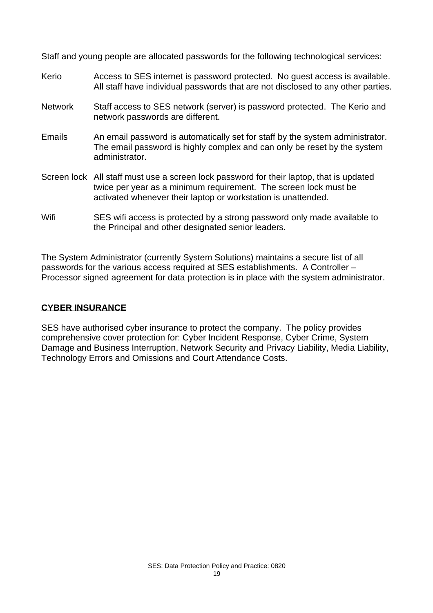Staff and young people are allocated passwords for the following technological services:

- Kerio Access to SES internet is password protected. No quest access is available. All staff have individual passwords that are not disclosed to any other parties.
- Network Staff access to SES network (server) is password protected. The Kerio and network passwords are different.
- Emails An email password is automatically set for staff by the system administrator. The email password is highly complex and can only be reset by the system administrator.
- Screen lock All staff must use a screen lock password for their laptop, that is updated twice per year as a minimum requirement. The screen lock must be activated whenever their laptop or workstation is unattended.
- Wifi SES wifi access is protected by a strong password only made available to the Principal and other designated senior leaders.

The System Administrator (currently System Solutions) maintains a secure list of all passwords for the various access required at SES establishments. A Controller – Processor signed agreement for data protection is in place with the system administrator.

# **CYBER INSURANCE**

SES have authorised cyber insurance to protect the company. The policy provides comprehensive cover protection for: Cyber Incident Response, Cyber Crime, System Damage and Business Interruption, Network Security and Privacy Liability, Media Liability, Technology Errors and Omissions and Court Attendance Costs.